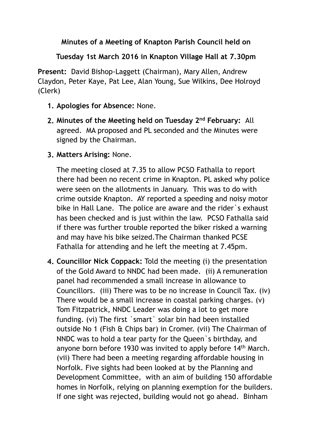## **Minutes of a Meeting of Knapton Parish Council held on**

## **Tuesday 1st March 2016 in Knapton Village Hall at 7.30pm**

**Present:** David Bishop-Laggett (Chairman), Mary Allen, Andrew Claydon, Peter Kaye, Pat Lee, Alan Young, Sue Wilkins, Dee Holroyd (Clerk)

- **1. Apologies for Absence:** None.
- **2. Minutes of the Meeting held on Tuesday 2nd February:** All agreed. MA proposed and PL seconded and the Minutes were signed by the Chairman.
- **3. Matters Arising:** None.

The meeting closed at 7.35 to allow PCSO Fathalla to report there had been no recent crime in Knapton. PL asked why police were seen on the allotments in January. This was to do with crime outside Knapton. AY reported a speeding and noisy motor bike in Hall Lane. The police are aware and the rider`s exhaust has been checked and is just within the law. PCSO Fathalla said if there was further trouble reported the biker risked a warning and may have his bike seized.The Chairman thanked PCSE Fathalla for attending and he left the meeting at 7.45pm.

**4. Councillor Nick Coppack:** Told the meeting (i) the presentation of the Gold Award to NNDC had been made. (ii) A remuneration panel had recommended a small increase in allowance to Councillors. (iii) There was to be no increase in Council Tax. (iv) There would be a small increase in coastal parking charges. (v) Tom Fitzpatrick, NNDC Leader was doing a lot to get more funding. (vi) The first `smart` solar bin had been installed outside No 1 (Fish & Chips bar) in Cromer. (vii) The Chairman of NNDC was to hold a tear party for the Queen`s birthday, and anyone born before 1930 was invited to apply before 14th March. (vii) There had been a meeting regarding affordable housing in Norfolk. Five sights had been looked at by the Planning and Development Committee, with an aim of building 150 affordable homes in Norfolk, relying on planning exemption for the builders. If one sight was rejected, building would not go ahead. Binham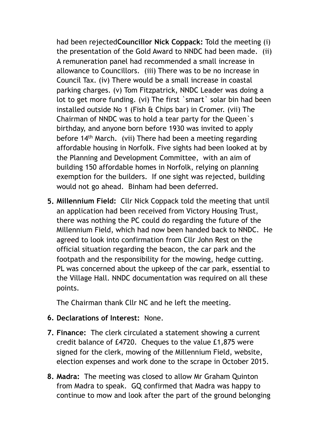had been rejected**Councillor Nick Coppack:** Told the meeting (i) the presentation of the Gold Award to NNDC had been made. (ii) A remuneration panel had recommended a small increase in allowance to Councillors. (iii) There was to be no increase in Council Tax. (iv) There would be a small increase in coastal parking charges. (v) Tom Fitzpatrick, NNDC Leader was doing a lot to get more funding. (vi) The first `smart` solar bin had been installed outside No 1 (Fish & Chips bar) in Cromer. (vii) The Chairman of NNDC was to hold a tear party for the Queen`s birthday, and anyone born before 1930 was invited to apply before 14th March. (vii) There had been a meeting regarding affordable housing in Norfolk. Five sights had been looked at by the Planning and Development Committee, with an aim of building 150 affordable homes in Norfolk, relying on planning exemption for the builders. If one sight was rejected, building would not go ahead. Binham had been deferred.

**5. Millennium Field:** Cllr Nick Coppack told the meeting that until an application had been received from Victory Housing Trust, there was nothing the PC could do regarding the future of the Millennium Field, which had now been handed back to NNDC. He agreed to look into confirmation from Cllr John Rest on the official situation regarding the beacon, the car park and the footpath and the responsibility for the mowing, hedge cutting. PL was concerned about the upkeep of the car park, essential to the Village Hall. NNDC documentation was required on all these points.

The Chairman thank Cllr NC and he left the meeting.

- **6. Declarations of Interest:** None.
- **7. Finance:** The clerk circulated a statement showing a current credit balance of £4720. Cheques to the value £1,875 were signed for the clerk, mowing of the Millennium Field, website, election expenses and work done to the scrape in October 2015.
- **8. Madra:** The meeting was closed to allow Mr Graham Quinton from Madra to speak. GQ confirmed that Madra was happy to continue to mow and look after the part of the ground belonging